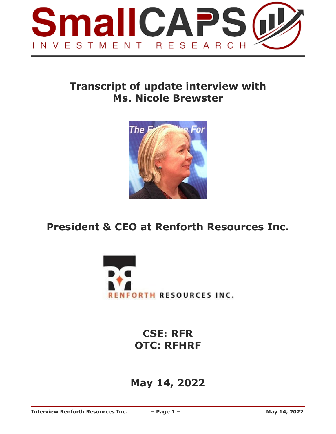

# **Transcript of update interview with Ms. Nicole Brewster**



# **President & CEO at Renforth Resources Inc.**



**CSE: RFR OTC: RFHRF**

# **May 14, 2022**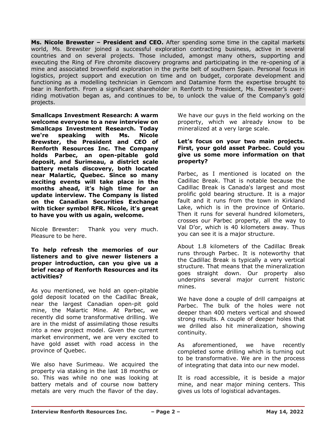**Ms. Nicole Brewster – President and CEO.** After spending some time in the capital markets world, Ms. Brewster joined a successful exploration contracting business, active in several countries and on several projects. Those included, amongst many others, supporting and executing the Ring of Fire chromite discovery programs and participating in the re-opening of a mine and associated brownfield exploration in the pyrite belt of southern Spain. Personal focus in logistics, project support and execution on time and on budget, corporate development and functioning as a modelling technician in Gemcom and Datamine form the expertise brought to bear in Renforth. From a significant shareholder in Renforth to President, Ms. Brewster's overriding motivation began as, and continues to be, to unlock the value of the Company's gold projects.

**Smallcaps Investment Research: A warm welcome everyone to a new interview on Smallcaps Investment Research. Today we're speaking with Ms. Nicole Brewster, the President and CEO of Renforth Resources Inc. The Company holds Parbec, an open-pitable gold deposit, and Surimeau, a district scale battery metals discovery, both located near Malartic, Quebec. Since so many exciting events will take place in the months ahead, it's high time for an update interview. The Company is listed on the Canadian Securities Exchange with ticker symbol RFR. Nicole, it's great to have you with us again, welcome.**

Nicole Brewster: Thank you very much. Pleasure to be here.

#### **To help refresh the memories of our listeners and to give newer listeners a proper introduction, can you give us a brief recap of Renforth Resources and its activities?**

As you mentioned, we hold an open-pitable gold deposit located on the Cadillac Break, near the largest Canadian open-pit gold mine, the Malartic Mine. At Parbec, we recently did some transformative drilling. We are in the midst of assimilating those results into a new project model. Given the current market environment, we are very excited to have gold asset with road access in the province of Quebec.

We also have Surimeau. We acquired the property via staking in the last 18 months or so. This was while no one was looking at battery metals and of course now battery metals are very much the flavor of the day. We have our guys in the field working on the property, which we already know to be mineralized at a very large scale.

#### **Let's focus on your two main projects. First, your gold asset Parbec. Could you give us some more information on that property?**

Parbec, as I mentioned is located on the Cadillac Break. That is notable because the Cadillac Break is Canada's largest and most prolific gold bearing structure. It is a major fault and it runs from the town in Kirkland Lake, which is in the province of Ontario. Then it runs for several hundred kilometers, crosses our Parbec property, all the way to Val D'or, which is 40 kilometers away. Thus you can see it is a major structure.

About 1.8 kilometers of the Cadillac Break runs through Parbec. It is noteworthy that the Cadillac Break is typically a very vertical structure. That means that the mineralization goes straight down. Our property also underpins several major current historic mines.

We have done a couple of drill campaigns at Parbec. The bulk of the holes were not deeper than 400 meters vertical and showed strong results. A couple of deeper holes that we drilled also hit mineralization, showing continuity.

As aforementioned, we have recently completed some drilling which is turning out to be transformative. We are in the process of integrating that data into our new model.

It is road accessible, it is beside a major mine, and near major mining centers. This gives us lots of logistical advantages.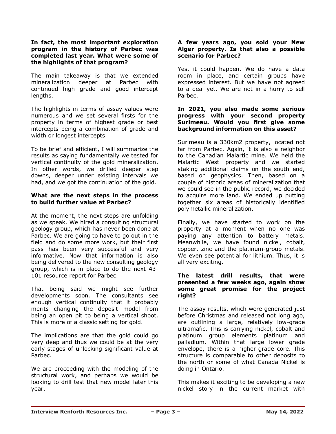#### **In fact, the most important exploration program in the history of Parbec was completed last year. What were some of the highlights of that program?**

The main takeaway is that we extended mineralization deeper at Parbec with continued high grade and good intercept lengths.

The highlights in terms of assay values were numerous and we set several firsts for the property in terms of highest grade or best intercepts being a combination of grade and width or longest intercepts.

To be brief and efficient, I will summarize the results as saying fundamentally we tested for vertical continuity of the gold mineralization. In other words, we drilled deeper step downs, deeper under existing intervals we had, and we got the continuation of the gold.

### **What are the next steps in the process to build further value at Parbec?**

At the moment, the next steps are unfolding as we speak. We hired a consulting structural geology group, which has never been done at Parbec. We are going to have to go out in the field and do some more work, but their first pass has been very successful and very informative. Now that information is also being delivered to the new consulting geology group, which is in place to do the next 43- 101 resource report for Parbec.

That being said we might see further developments soon. The consultants see enough vertical continuity that it probably merits changing the deposit model from being an open pit to being a vertical shoot. This is more of a classic setting for gold.

The implications are that the gold could go very deep and thus we could be at the very early stages of unlocking significant value at Parbec.

We are proceeding with the modeling of the structural work, and perhaps we would be looking to drill test that new model later this year.

# **A few years ago, you sold your New Alger property. Is that also a possible scenario for Parbec?**

Yes, it could happen. We do have a data room in place, and certain groups have expressed interest. But we have not agreed to a deal yet. We are not in a hurry to sell Parbec.

# **In 2021, you also made some serious progress with your second property Surimeau. Would you first give some background information on this asset?**

Surimeau is a 330km2 property, located not far from Parbec. Again, it is also a neighbor to the Canadian Malartic mine. We held the Malartic West property and we started staking additional claims on the south end, based on geophysics. Then, based on a couple of historic areas of mineralization that we could see in the public record, we decided to acquire more land. We ended up putting together six areas of historically identified polymetallic mineralization.

Finally, we have started to work on the property at a moment when no one was paying any attention to battery metals. Meanwhile, we have found nickel, cobalt, copper, zinc and the platinum-group metals. We even see potential for lithium. Thus, it is all very exciting.

# **The latest drill results, that were presented a few weeks ago, again show some great promise for the project right?**

The assay results, which were generated just before Christmas and released not long ago, are outlining a large, relatively low-grade ultramafic. This is carrying nickel, cobalt and platinum group elements platinum and palladium. Within that large lower grade envelope, there is a higher-grade core. This structure is comparable to other deposits to the north or some of what Canada Nickel is doing in Ontario.

This makes it exciting to be developing a new nickel story in the current market with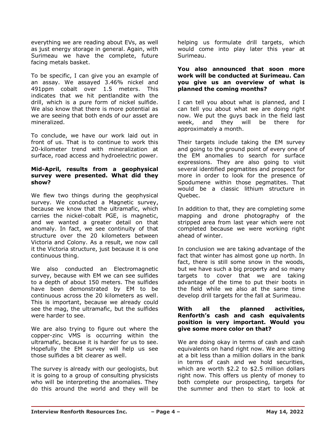everything we are reading about EVs, as well as just energy storage in general. Again, with Surimeau we have the complete, future facing metals basket.

To be specific, I can give you an example of an assay. We assayed 3.46% nickel and 491ppm cobalt over 1.5 meters. This indicates that we hit pentlandite with the drill, which is a pure form of nickel sulfide. We also know that there is more potential as we are seeing that both ends of our asset are mineralized.

To conclude, we have our work laid out in front of us. That is to continue to work this 20-kilometer trend with mineralization at surface, road access and hydroelectric power.

#### **Mid-April, results from a geophysical survey were presented. What did they show?**

We flew two things during the geophysical survey. We conducted a Magnetic survey, because we know that the ultramafic, which carries the nickel-cobalt PGE, is magnetic, and we wanted a greater detail on that anomaly. In fact, we see continuity of that structure over the 20 kilometers between Victoria and Colony. As a result, we now call it the Victoria structure, just because it is one continuous thing.

We also conducted an Electromagnetic survey, because with EM we can see sulfides to a depth of about 150 meters. The sulfides have been demonstrated by EM to be continuous across the 20 kilometers as well. This is important, because we already could see the mag, the ultramafic, but the sulfides were harder to see.

We are also trying to figure out where the copper-zinc VMS is occurring within the ultramafic, because it is harder for us to see. Hopefully the EM survey will help us see those sulfides a bit clearer as well.

The survey is already with our geologists, but it is going to a group of consulting physicists who will be interpreting the anomalies. They do this around the world and they will be helping us formulate drill targets, which would come into play later this year at Surimeau.

# **You also announced that soon more work will be conducted at Surimeau. Can you give us an overview of what is planned the coming months?**

I can tell you about what is planned, and I can tell you about what we are doing right now. We put the guys back in the field last week, and they will be there for approximately a month.

Their targets include taking the EM survey and going to the ground point of every one of the EM anomalies to search for surface expressions. They are also going to visit several identified pegmatites and prospect for more in order to look for the presence of Spodumene within those pegmatites. That would be a classic lithium structure in Quebec.

In addition to that, they are completing some mapping and drone photography of the stripped area from last year which were not completed because we were working right ahead of winter.

In conclusion we are taking advantage of the fact that winter has almost gone up north. In fact, there is still some snow in the woods, but we have such a big property and so many targets to cover that we are taking advantage of the time to put their boots in the field while we also at the same time develop drill targets for the fall at Surimeau.

# **With all the planned activities, Renforth's cash and cash equivalents position is very important. Would you give some more color on that?**

We are doing okay in terms of cash and cash equivalents on hand right now. We are sitting at a bit less than a million dollars in the bank in terms of cash and we hold securities, which are worth \$2.2 to \$2.5 million dollars right now. This offers us plenty of money to both complete our prospecting, targets for the summer and then to start to look at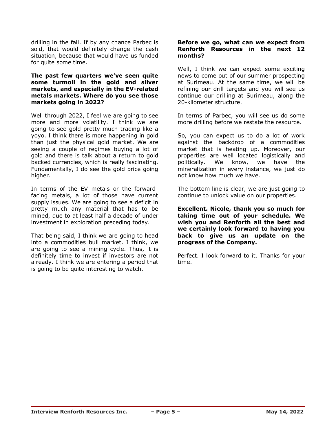drilling in the fall. If by any chance Parbec is sold, that would definitely change the cash situation, because that would have us funded for quite some time.

#### **The past few quarters we've seen quite some turmoil in the gold and silver markets, and especially in the EV-related metals markets. Where do you see those markets going in 2022?**

Well through 2022, I feel we are going to see more and more volatility. I think we are going to see gold pretty much trading like a yoyo. I think there is more happening in gold than just the physical gold market. We are seeing a couple of regimes buying a lot of gold and there is talk about a return to gold backed currencies, which is really fascinating. Fundamentally, I do see the gold price going higher.

In terms of the EV metals or the forwardfacing metals, a lot of those have current supply issues. We are going to see a deficit in pretty much any material that has to be mined, due to at least half a decade of under investment in exploration preceding today.

That being said, I think we are going to head into a commodities bull market. I think, we are going to see a mining cycle. Thus, it is definitely time to invest if investors are not already. I think we are entering a period that is going to be quite interesting to watch.

# **Before we go, what can we expect from Renforth Resources in the next 12 months?**

Well, I think we can expect some exciting news to come out of our summer prospecting at Surimeau. At the same time, we will be refining our drill targets and you will see us continue our drilling at Surimeau, along the 20-kilometer structure.

In terms of Parbec, you will see us do some more drilling before we restate the resource.

So, you can expect us to do a lot of work against the backdrop of a commodities market that is heating up. Moreover, our properties are well located logistically and politically. We know, we have the mineralization in every instance, we just do not know how much we have.

The bottom line is clear, we are just going to continue to unlock value on our properties.

**Excellent. Nicole, thank you so much for taking time out of your schedule. We wish you and Renforth all the best and we certainly look forward to having you back to give us an update on the progress of the Company.**

Perfect. I look forward to it. Thanks for your time.